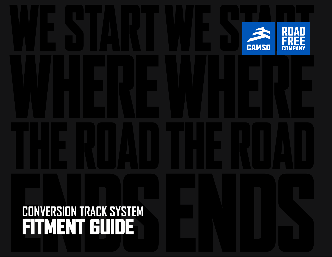# **CONVERSION TRACK SYSTEM** FITMENT GUIDE

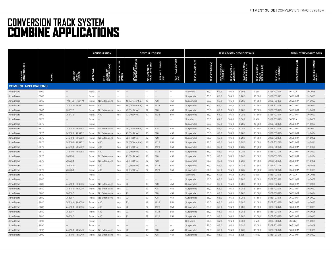# **CONVERSION TRACK SYSTEM** COMBINE APPLICATIONS

|                             |      |                 |                   | <b>CONFIGURATION</b>               |                            |                                    | <b>SPEED MULTIPLIER</b>          |                      |                           | <b>TRACK SYSTEM SPECIFICATIONS</b> |                  |                              |                                      |                                    |                                                    |                                  | TRACK SYSTEM SALES P/N'S              |                                  |  |
|-----------------------------|------|-----------------|-------------------|------------------------------------|----------------------------|------------------------------------|----------------------------------|----------------------|---------------------------|------------------------------------|------------------|------------------------------|--------------------------------------|------------------------------------|----------------------------------------------------|----------------------------------|---------------------------------------|----------------------------------|--|
| <b>MACHINE</b><br>MANUFACTI |      |                 | <b>DRIVE AXLE</b> | AXLE<br>EXTENSION<br>REQUIRED (MM) | SPEED MULTIPLIER<br>OPTION | 品<br>SPLINE COUNT-<br>TRANSMISSION | SPLINE COUNT-<br>FINAL DRIVE END | (MM)<br>(MM)<br>(MM) | RIGHT AXLE LENGTH<br>(MM) | FRAME TYPE<br><b>TRACK</b>         | TRACK WIDTH (IN) | TRACK OVERALL<br>HEIGHT (IN) | <b>TRACK OVERALL<br/>LENGTH (IN)</b> | FLAT PLATE AREA<br>PER PAIR (IN^2) | SYSTEM<br>TRACK SYSTEM<br>WEIGHT<br>PER PAIR (LBS) | <b>TRACK P/N<br/>(REFERENCE)</b> | Кd<br><b>NEWS/SYS</b><br><b>TRACK</b> | FITMENT<br>REQUIRED I<br>KIT P/N |  |
| <b>COMBINE APPLICATIONS</b> |      |                 |                   |                                    |                            |                                    |                                  |                      |                           |                                    |                  |                              |                                      |                                    |                                                    |                                  |                                       |                                  |  |
| John Deere                  | S660 | $\sim$ $\sim$   | Front             | <b>Contract</b>                    | $\sim$                     | $\sim$ $\sim$                      | $\sim$                           | <b>Contract</b>      | $\sim$                    | Standard                           | 36,0             | 64.6                         | 104,3                                | 5309                               | 9480                                               | B36BF03075                       | 36T23A                                | 2K-0068                          |  |
| John Deere                  | S660 | $\sim$ $-$      | Front             | $\sim$                             | $\sim$ $-$                 | $\sim$ $-$                         |                                  | $\sim$ $-$           | $\sim$ $\sim$             | Suspended                          | 36,0             | 65,0                         | 104,0                                | 5 2 8 5                            | 10580                                              | B36BF03075                       | 36Q23MA                               | 2K-0068                          |  |
| John Deere                  | S660 | 745100 - 765171 | Front             | No Extensions                      | Yes                        | 18 (Differential)                  | 18                               | 728                  | 451                       | Suspended                          | 36,0             | 65,0                         | 104,0                                | 5 2 8 5                            | 11580                                              | B36BF03075                       | 36Q23MA                               | 2K-0090                          |  |
| John Deere                  | S660 | 745100 - 765171 | Front             | 400                                | Yes                        | 18 (Differential)                  | 18                               | 1128                 | 851                       | Suspended                          | 36,0             | 65,0                         | 104,0                                | 5 2 8 5                            | 11580                                              | B36BF03075                       | 36Q23MA                               | 2K-0091                          |  |
| John Deere                  | S660 | 765172 -        | Front             | No Extensions                      | Yes                        | 22 (ProDrive)                      | 22                               | 728                  | 451                       | Suspended                          | 36,0             | 65,0                         | 104,0                                | 5 2 8 5                            | 11580                                              | B36BF03075                       | 36Q23MA                               | 2K-0092                          |  |
| John Deere                  | S660 | 765172          | Front             | 400                                | Yes                        | 22 (ProDrive)                      | 22                               | 1128                 | 851                       | Suspended                          | 36,0             | 65,0                         | 104,0                                | 5 2 8 5                            | 11580                                              | B36BF03075                       | 36Q23MA                               | 2K-0093                          |  |
| John Deere                  | S670 | $\sim$ $-$      | Front             | $\sim$ $-$                         | $\sim$ $-$                 | $\sim$ $-$                         | $\sim$ $-$                       | $\sim$ $-$           | $\sim$ $-$                | Standard                           | 36,0             | 64,6                         | 104,3                                | 5309                               | 9480                                               | B36BF03075                       | 36T23A                                | 2K-0068                          |  |
| John Deere                  | S670 | $\sim$ $-$      | Front             | $\sim$ $-$                         | $\sim$ $\sim$              | $\sim$ $-$                         | $\sim$ $-$                       | $\sim$ $-$           | $\sim$ $-$                | Suspended                          | 36,0             | 65,0                         | 104,0                                | 5 2 8 5                            | 10580                                              | B36BF03075                       | 36Q23MA                               | 2K-0068                          |  |
| John Deere                  | S670 | 745100 - 765252 | Front             | No Extensions                      | Yes                        | 18 (Differential)                  | 18                               | 728                  | 451                       | Suspended                          | 36,0             | 65.0                         | 104,0                                | 5 2 8 5                            | 11580                                              | B36BF03075                       | 36Q23MA                               | 2K-0090                          |  |
| John Deere                  | S670 | 745100 - 765252 | Front             | No Extensions                      | Yes                        | 22 (ProDrive)                      | 18                               | 728                  | 451                       | Suspended                          | 36,0             | 65,0                         | 104,0                                | 5 2 8 5                            | 11580                                              | B36BF03075                       | 36Q23MA                               | 2K-0094                          |  |
| John Deere                  | S670 | 745100 - 765252 | Front             | No Extensions                      | Yes                        | 22 (ProDrive)                      | 22                               | 728                  | 451                       | Suspended                          | 36,0             | 65.0                         | 104,0                                | 5 2 8 5                            | 11580                                              | B36BF03075                       | 36Q23MA                               | 2K-0092                          |  |
| John Deere                  | S670 | 745100 - 765252 | Front             | 400                                | Yes                        | 18 (Differential)                  | 18                               | 1128                 | 851                       | Suspended                          | 36.0             | 65.0                         | 104.0                                | 5 2 8 5                            | 11580                                              | B36BF03075                       | 36Q23MA                               | 2K-0091                          |  |
| John Deere                  | S670 | 745100 - 765252 | Front             | 400                                | Yes                        | 22 (ProDrive)                      | 18                               | 1128                 | 851                       | Suspended                          | 36,0             | 65,0                         | 104,0                                | 5 2 8 5                            | 11580                                              | B36BF03075                       | 36Q23MA                               | 2K-0095                          |  |
| John Deere                  | S670 | 745100 - 765252 | Front             | 400                                | Yes                        | 22 (ProDrive)                      | 22                               | 1128                 | 851                       | Suspended                          | 36,0             | 65,0                         | 104,0                                | 5 2 8 5                            | 11580                                              | B36BF03075                       | 36Q23MA                               | 2K-0093                          |  |
| John Deere                  | S670 | 765253          | Front             | No Extensions                      | Yes                        | 22 (ProDrive)                      | 18                               | 728                  | 451                       | Suspended                          | 36,0             | 65,0                         | 104,0                                | 5 2 8 5                            | 11580                                              | B36BF03075                       | 36Q23MA                               | 2K-0094                          |  |
| John Deere                  | S670 | 765253          | Front             | No Extensions                      | Yes                        | 22 (ProDrive)                      | 22                               | 728                  | 451                       | Suspended                          | 36,0             | 65,0                         | 104,0                                | 5 2 8 5                            | 11580                                              | B36BF03075                       | 36Q23MA                               | 2K-0092                          |  |
| John Deere                  | S670 | 765253          | Front             | 400                                | Yes                        | 22 (ProDrive)                      | 18                               | 1128                 | 851                       | Suspended                          | 36,0             | 65,0                         | 104,0                                | 5 2 8 5                            | 11580                                              | B36BF03075                       | 36Q23MA                               | 2K-0095                          |  |
| John Deere                  | S670 | 765253          | Front             | 400                                | Yes                        | 22 (ProDrive)                      | 22                               | 1128                 | 851                       | Suspended                          | 36,0             | 65,0                         | 104,0                                | 5 2 8 5                            | 11580                                              | B36BF03075                       | 36Q23MA                               | 2K-0093                          |  |
| John Deere                  | S680 | $\sim$ $-$      | Front             | $\sim$                             |                            | $\sim$ $-$                         | $\sim$ $-$                       | $\sim$ $-$           | $\sim$ $\sim$             | Standard                           | 36,0             | 64.6                         | 104,3                                | 5309                               | 9480                                               | B36BF03075                       | 36T23A                                | 2K-0068                          |  |
| John Deere                  | S680 | $\sim$ $\sim$   | Front             | $\sim$ $-$                         | $\sim$ $\sim$              | $\Delta\omega$                     | $\sim$ $\sim$                    | $  \,$               | $\sim$ $\sim$             | Suspended                          | 36,0             | 65,0                         | 104,0                                | 5 2 8 5                            | 10580                                              | B36BF03075                       | 36Q23MA                               | 2K-0068                          |  |
| John Deere                  | S680 | 745100 - 766006 | Front             | No Extensions                      | Yes                        | 22                                 | 18                               | 728                  | 451                       | Suspended                          | 36,0             | 65.0                         | 104,0                                | 5 2 8 5                            | 11580                                              | B36BF03075                       | 36Q23MA                               | 2K-0094                          |  |
| John Deere                  | S680 | 745100 - 766006 | Front             | No Extensions                      | Yes                        | 22                                 | 22                               | 728                  | 451                       | Suspended                          | 36.0             | 65.0                         | 104.0                                | 5 2 8 5                            | 11580                                              | B36BF03075                       | 36Q23MA                               | 2K-0092                          |  |
| John Deere                  | S680 | 766007-         | Front             | No Extensions                      | Yes                        | 22                                 | 18                               | 728                  | 451                       | Suspended                          | 36,0             | 65,0                         | 104,0                                | 5 2 8 5                            | 11580                                              | B36BF03075                       | 36Q23MA                               | 2K-0094                          |  |
| John Deere                  | S680 | 766007 -        | Front             | No Extensions                      | Yes                        | 22                                 | 22                               | 728                  | 451                       | Suspended                          | 36,0             | 65,0                         | 104,0                                | 5 2 8 5                            | 11580                                              | B36BF03075                       | 36Q23MA                               | 2K-0092                          |  |
| John Deere                  | S680 | 745100 - 766006 | Front             | 400                                | Yes                        | 22                                 | 18                               | 1128                 | 851                       | Suspended                          | 36,0             | 65,0                         | 104,0                                | 5 2 8 5                            | 11580                                              | B36BF03075                       | 36Q23MA                               | 2K-0095                          |  |
| John Deere                  | S680 | 745100 - 766006 | Front             | 400                                | Yes                        | 22                                 | 22                               | 1128                 | 851                       | Suspended                          | 36,0             | 65,0                         | 104,0                                | 5 2 8 5                            | 11580                                              | B36BF03075                       | 36Q23MA                               | 2K-0093                          |  |
| John Deere                  | S680 | 766007 -        | Front             | 400                                | Yes                        | 22                                 | 18                               | 1128                 | 851                       | Suspended                          | 36,0             | 65,0                         | 104,0                                | 5 2 8 5                            | 11580                                              | B36BF03075                       | 36Q23MA                               | 2K-0095                          |  |
| John Deere                  | S680 | 766007          | Front             | 400                                | Yes                        | 22                                 | 22                               | 1128                 | 851                       | Suspended                          | 36,0             | 65,0                         | 104,0                                | 5 2 8 5                            | 11580                                              | B36BF03075                       | 36Q23MA                               | 2K-0093                          |  |
| John Deere                  | S690 | $\sim$ $-$      | Front             | $\sim$ $-$                         | $-$                        | $\sim$ $-$                         |                                  | $\sim$ $-$           | $\sim$ $\sim$             | Standard                           | 36,0             | 64,6                         | 104,3                                | 5309                               | 9480                                               | B36BF03075                       | 36T23A                                | 2K-0068                          |  |
| John Deere                  | S690 | $\sim$ $-$      | Front             | $\sim$ $-$                         | $\sim$ $-$                 | $\sim$ $-$                         | $\sim$ $-$                       | $\sim$ $-$           | $\sim$ $\sim$             | Suspended                          | 36,0             | 65,0                         | 104,0                                | 5 2 8 5                            | 10580                                              | B36BF03075                       | 36Q23MA                               | 2K-0068                          |  |
| John Deere                  | S690 | 745100 - 765249 | Front             | No Extensions                      | Yes                        | 22                                 | 18                               | 728                  | 451                       | Suspended                          | 36,0             | 65.0                         | 104,0                                | 5 2 8 5                            | 11580                                              | B36BF03075                       | 36Q23MA                               | 2K-0090                          |  |
| John Deere                  | S690 | 745100 - 765249 | Front             | No Extensions                      | Yes                        | 22                                 | 22                               | 728                  | 451                       | Suspended                          | 36.0             | 65.0                         | 104,0                                | 5 2 8 5                            | 11580                                              | B36BF03075                       | 36Q23MA                               | 2K-0092                          |  |
|                             |      |                 |                   |                                    |                            |                                    |                                  |                      |                           |                                    |                  |                              |                                      |                                    |                                                    |                                  |                                       |                                  |  |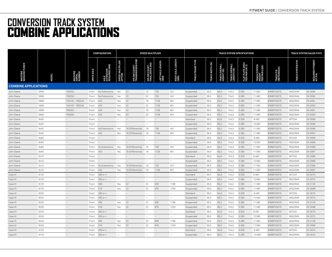# **CONVERSION TRACK SYSTEM** COMBINE APPLICATIONS

|                             |              |                                      |                   | <b>CONFIGURATION</b>               |                            |                                    | <b>SPEED MULTIPLIER</b>          |                          |                           | TRACK SYSTEM SPECIFICATIONS |                  |                              |                              |                                    |                                          |                                  |                           | TRACK SYSTEM SALES P/N'S         |  |  |
|-----------------------------|--------------|--------------------------------------|-------------------|------------------------------------|----------------------------|------------------------------------|----------------------------------|--------------------------|---------------------------|-----------------------------|------------------|------------------------------|------------------------------|------------------------------------|------------------------------------------|----------------------------------|---------------------------|----------------------------------|--|--|
| <b>MACHINE</b><br>MANUFACTI | <b>NODEL</b> | <b>MACHINE<br/>SERIAL<br/>NUMBER</b> | <b>DRIVE AXLE</b> | AXLE<br>EXTENSION<br>REQUIRED (MM) | SPEED MULTIPLIER<br>OPTION | 옮<br>SPLINE COUNT-<br>TRANSMISSION | SPLINE COUNT-<br>FINAL DRIVE END | LEFT AXLE LENGTH<br>(MM) | RIGHT AXLE LENGTH<br>(MM) | <b>FRAME TYPE</b><br>ă      | TRACK WIDTH (IN) | TRACK OVERALL<br>HEIGHT (IN) | TRACK OVERALL<br>LENGTH (IN) | FLAT PLATE AREA<br>PER PAIR (IN^2) | TRACK SYSTEM<br>WEIGHT<br>PER PAIR (LBS) | <b>TRACK P/N<br/>(REFERENCE)</b> | Кď<br><b>TRACK SYSTEM</b> | FITMENT<br>REQUIRED I<br>KIT P/N |  |  |
| <b>COMBINE APPLICATIONS</b> |              |                                      |                   |                                    |                            |                                    |                                  |                          |                           |                             |                  |                              |                              |                                    |                                          |                                  |                           |                                  |  |  |
| John Deere                  | S690         | 765250                               | Front             | No Extensions                      | Yes                        | 22                                 | 18                               | 728                      | 451                       | Suspended                   | 36,0             | 65,0                         | 104,0                        | 5 2 8 5                            | 11580                                    | B36BF03075                       | 36Q23MA                   | 2K-0090                          |  |  |
| John Deere                  | S690         | 765250                               | Front             | No Extensions                      | Yes                        | 22                                 | 22                               | 728                      | 451                       | Suspended                   | 36,0             | 65,0                         | 104,0                        | 5 2 8 5                            | 11580                                    | B36BF03075                       | 36Q23MA                   | 2K-0092                          |  |  |
| John Deere                  | S690         | 745100 - 765249                      | Front             | 400                                | Yes                        | 22                                 | 18                               | 1128                     | 851                       | Suspended                   | 36,0             | 65,0                         | 104,0                        | 5 2 8 5                            | 11580                                    | B36BF03075                       | 36Q23MA                   | 2K-0091                          |  |  |
| John Deere                  | S690         | 745100 - 765249                      | Front             | 400                                | Yes                        | 22                                 | 22                               | 1128                     | 851                       | Suspended                   | 36,0             | 65,0                         | 104,0                        | 5 2 8 5                            | 11580                                    | B36BF03075                       | 36Q23MA                   | 2K-0093                          |  |  |
| John Deere                  | S690         | 765250                               | Front             | 400                                | Yes                        | 22                                 | 18                               | 1128                     | 851                       | Suspended                   | 36,0             | 65,0                         | 104,0                        | 5 2 8 5                            | 11580                                    | B36BF03075                       | 36Q23MA                   | 2K-0091                          |  |  |
| John Deere                  | S690         | 765250                               | Front             | 400                                | Yes                        | 22                                 | 22                               | 1128                     | 851                       | Suspended                   | 36,0             | 65,0                         | 104,0                        | 5 2 8 5                            | 11580                                    | B36BF03075                       | 36Q23MA                   | 2K-0093                          |  |  |
| John Deere                  | 9x50         | $\sim$ $-$                           | Front             | $\sim$ $-$                         | $\sim$ $-$                 | $\sim$ $-$                         | $\sim$ $-$                       | $\sim$ $-$               | $\sim$ $\sim$             | Standard                    | 36,0             | 64,6                         | 104,3                        | 5309                               | 9480                                     | B36BF03075                       | 36T23A                    | 2K-0069                          |  |  |
| John Deere                  | 9x50         | $\sim$ $-$                           | Front             | $\sim$ $-$                         | $\sim$ $\sim$              | $\sim$ $-$                         | $\sim$ $-$                       | $\sim$ $-$               | $\sim$ $\sim$             | Suspended                   | 36,0             | 65,0                         | 104,0                        | 5 2 8 5                            | 10580                                    | B36BF03075                       | 36Q23MA                   | 2K-0069                          |  |  |
| John Deere                  | 9x50         | $\sim$ $-$                           | Front             | No Extensions                      | Yes                        | 18 (Differential)                  | 18                               | 728                      | 451                       | Suspended                   | 36,0             | 65.0                         | 104,0                        | 5 2 8 5                            | 11580                                    | B36BF03075                       | 36Q23MA                   | 2K-0096                          |  |  |
| John Deere                  | 9x50         | $\sim$ $-$                           | Front             | 400                                | Yes                        | 18 (Differential) 18               |                                  | 1128                     | 851                       | Suspended                   | 36,0             | 65,0                         | 104,0                        | 5 2 8 5                            | 11580                                    | B36BF03075                       | 36Q23MA                   | 2K-0097                          |  |  |
| John Deere                  | 9x60         | $\sim$ $-$                           | Front             | $\sim$ $-$                         | $\sim$                     | $\sim$ $-$                         | $\sim$                           | $\sim$ $-$               | $\sim$                    | Standard                    | 36,0             | 64,6                         | 104,3                        | 5309                               | 9480                                     | B36BF03075                       | 36T23A                    | 2K-0069                          |  |  |
| John Deere                  | 9x60         | $\sim$ $-$                           | Front             | $\sim$ $-$                         | $\sim$ $-$                 | $\sim$                             |                                  | $\sim$ $-$               | $\sim$ $\sim$             | Suspended                   | 36.0             | 65.0                         | 104.0                        | 5 2 8 5                            | 10580                                    | B36BF03075                       | 36023MA                   | 2K-0069                          |  |  |
| John Deere                  | 9x60         | $\sim$ $-$                           | Front             | No Extensions                      | Yes                        | 18 (Differential)                  | 18                               | 728                      | 451                       | Suspended                   | 36,0             | 65,0                         | 104,0                        | 5 2 8 5                            | 11580                                    | B36BF03075                       | 36Q23MA                   | 2K-0096                          |  |  |
| John Deere                  | 9x60         | $\sim$ $\sim$                        | Front             | 400                                | Yes                        | 18 (Differential)                  | 18                               | 1128                     | 851                       | Suspended                   | 36,0             | 65,0                         | 104,0                        | 5 2 8 5                            | 11580                                    | B36BF03075                       | 36Q23MA                   | 2K-0097                          |  |  |
| John Deere                  | 9x70         | $\sim$ $-$                           | Front             | $\sim$                             | $\sim$ $-$                 | $\sim$ $-$                         | $\sim$ $-$                       | $\sim$ $-$               | $\sim$ $\sim$             | Standard                    | 36,0             | 64,6                         | 104,3                        | 5309                               | 9480                                     | B36BF03075                       | 36T23A                    | 2K-0069                          |  |  |
| John Deere                  | 9x70         | $\sim$ $-$                           | Front             | $\sim$ $-$                         | $\sim$ $-$                 |                                    | $\sim$ $-$                       | $\sim$ $-$               | $\sim$ $\sim$             | Suspended                   | 36,0             | 65,0                         | 104,0                        | 5 2 8 5                            | 10580                                    | B36BF03075                       | 36Q23MA                   | 2K-0069                          |  |  |
| John Deere                  | 9x70         | $\sim$                               | Front             | No Extensions                      | Yes                        | 18 (Differential)                  | 18                               | 728                      | 451                       | Suspended                   | 36,0             | 65,0                         | 104,0                        | 5 2 8 5                            | 11580                                    | B36BF03075                       | 36Q23MA                   | 2K-0096                          |  |  |
| John Deere                  | 9x70         | $\sim$ $-$                           | Front             | 400                                | Yes                        | 18 (Differential)                  | 18                               | 1128                     | 851                       | Suspended                   | 36,0             | 65,0                         | 104,0                        | 5 2 8 5                            | 11580                                    | B36BF03075                       | 36Q23MA                   | 2K-0097                          |  |  |
| Case IH                     | 8120         | $\sim$ $-$                           | Front             | $265$ or $+$                       | $\sim$ $-$                 | $\sim$ $-$                         | $\sim$ $-$                       | $\sim$ $-$               | $\sim$ $\sim$             | Standard                    | 36,0             | 64.6                         | 104,3                        | 5309                               | 9480                                     | B36BF03075                       | 36T23A                    | 2K-0070                          |  |  |
| Case IH                     | 8120         | $\sim$ $\sim$                        | Front             | $265$ or $+$                       | $\sim$ $\sim$              | $\sim$ $\sim$                      | $\sim$ $-$                       | $  \,$                   | $\sim$ $\sim$             | Suspended                   | 36,0             | 65,0                         | 104,0                        | 5 2 8 5                            | 10580                                    | B36BF03075                       | 36Q23MA                   | 2K-0070                          |  |  |
| Case IH                     | 8120         | $\sim$ $-$                           | Front             | 265                                | Yes                        | 22                                 | 22                               | 928                      | 1188                      | Suspended                   | 36,0             | 65.0                         | 104,0                        | 5 2 8 5                            | 11580                                    | B36BF03075                       | 36Q23MA                   | 2K-0126                          |  |  |
| Case IH                     | 8120         | $\sim$ $-$                           | Front             | 316                                | Yes                        | 22                                 | 22                               | 979                      | 1239                      | Suspended                   | 36.0             | 65.0                         | 104,0                        | 5 2 8 5                            | 11580                                    | B36BF03075                       | 36Q23MA                   | 2K-0098                          |  |  |
| Case IH                     | 8230         | $\sim$ $-$                           | Front             | $265$ or $+$                       | $\sim$ $-$                 | $\sim$ $-$                         | $\sim$ $-$                       | $\sim$ $-$               | $\sim$ $\sim$             | Standard                    | 36,0             | 64,6                         | 104,3                        | 5309                               | 9480                                     | B36BF03075                       | 36T23A                    | 2K-0070                          |  |  |
| Case IH                     | 8230         | $\sim$ $-$                           | Front             | $265$ or $+$                       | $\sim$ $-$                 | $\sim$ $-$                         | $\sim$ $-$                       | $\sim$ $-$               | $\sim$ $-$                | Suspended                   | 36,0             | 65,0                         | 104,0                        | 5 2 8 5                            | 10580                                    | B36BF03075                       | 36Q23MA                   | 2K-0070                          |  |  |
| Case IH                     | 8230         | $\sim$ $-$                           | Front             | 265                                | Yes                        | 22                                 | 22                               | 928                      | 1188                      | Suspended                   | 36,0             | 65,0                         | 104,0                        | 5 2 8 5                            | 11580                                    | B36BF03075                       | 36Q23MA                   | 2K-0126                          |  |  |
| Case IH                     | 8230         | $\sim$ $-$                           | Front             | 316                                | Yes                        | 22                                 | 22                               | 979                      | 1239                      | Suspended                   | 36,0             | 65,0                         | 104,0                        | 5 2 8 5                            | 11580                                    | B36BF03075                       | 36Q23MA                   | 2K-0098                          |  |  |
| Case IH                     | 8240         | $\sim$ $-$                           | Front             | $265$ or $+$                       | $\sim$ $-$                 | $\sim$ $-$                         | $\sim$ $-$                       | $\sim$ $-$               | $\sim$ $\sim$             | Standard                    | 36,0             | 64,6                         | 104,3                        | 5309                               | 9480                                     | B36BF03075                       | 36T23A                    | 2K-0070                          |  |  |
| Case IH                     | 8240         | $\sim$ $-$                           | Front             | $265$ or $+$                       | $\sim$ $-$                 | $\sim$ $-$                         | $\sim$ $-$                       | $\sim$ $-$               | $\sim$ $\sim$             | Suspended                   | 36,0             | 65,0                         | 104,0                        | 5 2 8 5                            | 10580                                    | B36BF03075                       | 36Q23MA                   | 2K-0070                          |  |  |
| Case IH                     | 8240         | $\sim$ $-$                           | Front             | 265                                | Yes                        | 22                                 | 22                               | 928                      | 1188                      | Suspended                   | 36,0             | 65,0                         | 104,0                        | 5 2 8 5                            | 11580                                    | B36BF03075                       | 36Q23MA                   | 2K-0126                          |  |  |
| Case IH                     | 8240         | $\sim$ $-$                           | Front             | 316                                | Yes                        | 22                                 | 22                               | 979                      | 1239                      | Suspended                   | 36,0             | 65,0                         | 104,0                        | 5 2 8 5                            | 11580                                    | B36BF03075                       | 36Q23MA                   | 2K-0098                          |  |  |
| Case IH                     | 9120         | $\sim$ $-$                           | Front             | $265$ or $+$                       | $\sim$ $-$                 | $\sim$ $-$                         | <b>A</b>                         | $\sim$ $-$               | $\sim$                    | Standard                    | 36.0             | 64,6                         | 104,3                        | 5309                               | 9480                                     | B36BF03075                       | 36T23A                    | 2K-0070                          |  |  |
| Case IH                     | 9120         | $\sim$ $-$                           | Front             | $265$ or $+$                       | $\sim$ $-$                 | $\sim$ $-$                         | $\sim$ $\sim$                    | $\sim$ $-$               | $\sim$ $\sim$             | Suspended                   | 36.0             | 65.0                         | 104,0                        | 5 2 8 5                            | 10580                                    | B36BF03075                       | 36023MA                   | 2K-0070                          |  |  |
|                             |              |                                      |                   |                                    |                            |                                    |                                  |                          |                           |                             |                  |                              |                              |                                    |                                          |                                  |                           |                                  |  |  |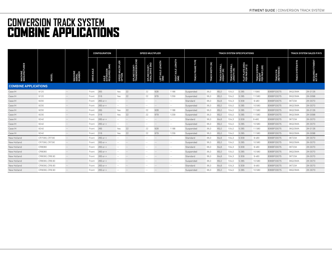# **CONVERSION TRACK SYSTEM** COMBINE APPLICATIONS

|                                 |                |                                      | <b>CONFIGURATION</b> |                                    |                            |                                   | <b>SPEED MULTIPLIER</b>          |                                                |                                      |                                   | <b>TRACK SYSTEM SALES P/N'S</b> |                              |                              |                                    |                                          |                                  |                                  |                                  |
|---------------------------------|----------------|--------------------------------------|----------------------|------------------------------------|----------------------------|-----------------------------------|----------------------------------|------------------------------------------------|--------------------------------------|-----------------------------------|---------------------------------|------------------------------|------------------------------|------------------------------------|------------------------------------------|----------------------------------|----------------------------------|----------------------------------|
| <b>MACHINE<br/>MANUFACTURER</b> | <b>MODEL</b>   | <b>MACHINE<br/>SERIAL<br/>NUMBER</b> | DRIVE AXLE           | AXLE<br>EXTENSION<br>REQUIRED (MM) | SPEED MULTIPLIER<br>OPTION | SPLINE COUNT-<br>TRANSMISSION END | SPLINE COUNT-<br>FINAL DRIVE END | LEFT AXLE LENGTH<br>(MM)                       | <b>AXLE LENGTH</b><br>RIGHT.<br>(MM) | <b>FRAMETYPE</b><br><b>TRACKI</b> | TRACK WIDTH (IN)                | TRACK OVERALL<br>HEIGHT (IN) | TRACK OVERALL<br>LENGTH (IN) | FLAT PLATE AREA<br>PER PAIR (IN^2) | TRACK SYSTEM<br>WEIGHT<br>PER PAIR (LBS) | <b>TRACK P/N<br/>(REFERENCE)</b> | <b>Md</b><br><b>TRACK SYSTEM</b> | FITMENT<br>REQUIRED I<br>KIT P/N |
| <b>COMBINE APPLICATIONS</b>     |                |                                      |                      |                                    |                            |                                   |                                  |                                                |                                      |                                   |                                 |                              |                              |                                    |                                          |                                  |                                  |                                  |
| Case IH                         | 9120           | $\sim$ $-$                           | Front                | 265                                | Yes                        | 22                                | 22                               | 928                                            | 1188                                 | Suspended                         | 36,0                            | 65,0                         | 104,0                        | 5 2 8 5                            | 11580                                    | B36BF03075                       | 36Q23MA                          | 2K-0126                          |
| Case IH                         | 9120           | $\sim$ $-$                           | Front                | 316                                | Yes                        | 22                                | 22                               | 979                                            | 1239                                 | Suspended                         | 36,0                            | 65,0                         | 104,0                        | 5 2 8 5                            | 11 580                                   | B36BF03075                       | 36Q23MA                          | 2K-0098                          |
| Case IH                         | 9230           | $\sim$ $-$                           | Front                | $265$ or $+$                       | $\sim$ $-$                 | $\sim$ $-$                        | $\sim$ $-$                       | $\hspace{0.1mm}-\hspace{0.1mm}-\hspace{0.1mm}$ | $\sim$ $-$                           | Standard                          | 36,0                            | 64,6                         | 104.3                        | 5309                               | 9480                                     | B36BF03075                       | 36T23A                           | 2K-0070                          |
| Case IH                         | 9230           | $\sim$ $-$                           | Front                | $265$ or $+$                       | $\sim$ $-$                 | $\sim$ $-$                        | $\sim$ $-$                       | $\sim$ $-$                                     | $\sim$ $-$                           | Suspended                         | 36,0                            | 65,0                         | 104.0                        | 5 2 8 5                            | 10580                                    | B36BF03075                       | 36Q23MA                          | 2K-0070                          |
| Case IH                         | 9230           | $\sim$ $-$                           | Front                | 265                                | Yes                        | 22                                | 22                               | 928                                            | 1188                                 | Suspended                         | 36,0                            | 65,0                         | 104.0                        | 5 2 8 5                            | 11580                                    | B36BF03075                       | 36023MA                          | 2K-0126                          |
| Case IH                         | 9230           | $-  \,$                              | Front                | 316                                | Yes                        | 22                                | 22                               | 979                                            | 1239                                 | Suspended                         | 36,0                            | 65,0                         | 104,0                        | 5 2 8 5                            | 11580                                    | B36BF03075                       | 36Q23MA                          | 2K-0098                          |
| Case IH                         | 9240           | $\sim$ $-$                           | Front                | $265$ or $+$                       | $\sim$ $-$                 | $\sim$                            | $\sim$ $-$                       | $\sim$ $-$                                     | $\sim$ $-$                           | Standard                          | 36,0                            | 64,6                         | 104,3                        | 5309                               | 9480                                     | B36BF03075                       | 36T23A                           | 2K-0070                          |
| Case IH                         | 9240           | $\sim$ $-$                           | Front                | $265$ or $+$                       | $\sim$ $-$                 | $\sim$                            | $\sim$ $-$                       | $\sim$ $-$                                     | $\sim$ $-$                           | Suspended                         | 36,0                            | 65,0                         | 104,0                        | 5 2 8 5                            | 10580                                    | B36BF03075                       | 36Q23MA                          | 2K-0070                          |
| Case IH                         | 9240           | $\sim$ $-$                           | Front                | 265                                | Yes                        | 22                                | 22                               | 928                                            | 1188                                 | Suspended                         | 36,0                            | 65,0                         | 104,0                        | 5 2 8 5                            | 11580                                    | B36BF03075                       | 36Q23MA                          | 2K-0126                          |
| Case IH                         | 9240           | $- -$                                | Front                | 316                                | Yes                        | 22                                | 22                               | 979                                            | 1239                                 | Suspended                         | 36.0                            | 65,0                         | 104.0                        | 5 2 8 5                            | 11580                                    | B36BF03075                       | 36Q23MA                          | 2K-0098                          |
| New Holland                     | CR7090, CR7.90 | $\sim$ $-$                           | Front                | $265$ or $+$                       | $\sim$ $-$                 | $\sim$ $-$                        | $\sim$ $-$                       | $\sim$ $-$                                     | $\sim$ $\sim$                        | Standard                          | 36,0                            | 64,6                         | 104,3                        | 5309                               | 9480                                     | B36BF03075                       | 36T23A                           | 2K-0070                          |
| New Holland                     | CR7090, CR7.90 | $\sim$ $-$                           | Front                | $265$ or $+$                       | $\sim$ $-$                 | $\sim$ $-$                        | $\sim$ $-$                       | $\sim$ $-$                                     | $\sim$ $-$                           | Suspended                         | 36,0                            | 65,0                         | 104.0                        | 5 2 8 5                            | 10580                                    | B36BF03075                       | 36Q23MA                          | 2K-0070                          |
| New Holland                     | CR8080         | $-  \,$                              | Front                | $265$ or $+$                       | $\sim$ $-$                 | $\sim$ $-$                        | $- -$                            | $\sim$ $-$                                     | $\sim$ $-$                           | Standard                          | 36,0                            | 64,6                         | 104,3                        | 5 3 0 9                            | 9480                                     | B36BF03075                       | 36T23A                           | 2K-0070                          |
| New Holland                     | CR8080         | $\sim$ $-$                           | Front                | $265$ or $+$                       | $\sim$ $-$                 | $\sim$ $-$                        | $\sim$ $-$                       | $\sim$ $-$                                     | $\sim$ $-$                           | Suspended                         | 36.0                            | 65,0                         | 104.0                        | 5 2 8 5                            | 10580                                    | B36BF03075                       | 36023MA                          | 2K-0070                          |
| New Holland                     | CR8090, CR8.90 | $\sim$ $-$                           | Front                | $265$ or $+$                       | $\sim$ $-$                 | $\sim$ $-$                        | $- -$                            | $\sim$ $-$                                     | $\sim$ $-$                           | Standard                          | 36,0                            | 64,6                         | 104,3                        | 5309                               | 9480                                     | B36BF03075                       | 36T23A                           | 2K-0070                          |
| New Holland                     | CR8090, CR8.90 | $\sim$ $-$                           | Front                | $265$ or $+$                       | $\sim$ $-$                 | $\sim$ $-$                        | $\sim$ $-$                       | $\sim$ $-$                                     | $\sim$ $\sim$                        | Suspended                         | 36,0                            | 65,0                         | 104,0                        | 5 2 8 5                            | 10580                                    | B36BF03075                       | 36Q23MA                          | 2K-0070                          |
| New Holland                     | CR9090, CR9.90 | $\sim$ $-$                           | Front                | $265$ or $+$                       | $\sim$ $-$                 | $\sim$ $-$                        | $\sim$ $-$                       | $\sim$ $-$                                     | $\sim$ $-$                           | Standard                          | 36,0                            | 64,6                         | 104,3                        | 5309                               | 9480                                     | B36BF03075                       | 36T23A                           | 2K-0070                          |
| New Holland                     | CR9090, CR9.90 | $- -$                                | Front                | $265$ or $+$                       | $- -$                      | $\sim$ $-$                        | $- -$                            | $\sim$ $-$                                     | $\sim$ $\sim$                        | Suspended                         | 36,0                            | 65,0                         | 104,0                        | 5 2 8 5                            | 10580                                    | B36BF03075                       | 36Q23MA                          | 2K-0070                          |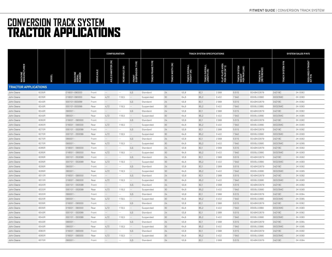# **CONVERSION TRACK SYSTEM** TRACTOR APPLICATIONS

|                             |              |                 |                   | <b>CONFIGURATION</b> |                |                               | TRACK SYSTEM SPECIFICATIONS |                                      |                              |                              |                                    |                                          |                          |                         | <b>SYSTEM SALES P/N'S</b>   |  |  |  |
|-----------------------------|--------------|-----------------|-------------------|----------------------|----------------|-------------------------------|-----------------------------|--------------------------------------|------------------------------|------------------------------|------------------------------------|------------------------------------------|--------------------------|-------------------------|-----------------------------|--|--|--|
|                             | <b>MODEL</b> |                 | <b>DRIVE AXLE</b> | AXLE DIAMETER (IN)   | REAR AXLE (IN) | TYPE<br>Front<br>Suspension 1 | <b>TRACK FRAME TYPE</b>     | $\widehat{\mathbf{g}}$<br>WIDTH<br>ě | TRACK OVERALL<br>HEIGHT (IN) | TRACK OVERALL<br>LENGTH (IN) | FLAT PLATE AREA<br>PER PAIR (IN^2) | TRACK SYSTEM<br>WEIGHT<br>PER PAIR (LBS) | TRACK P/N<br>(REFERENCE) | <b>TRACK SYSTEM P/N</b> | REQUIRED FITMENT<br>KIT P/N |  |  |  |
| <b>TRACTOR APPLICATIONS</b> |              |                 |                   |                      |                |                               |                             |                                      |                              |                              |                                    |                                          |                          |                         |                             |  |  |  |
| John Deere                  | 8235R        | 016001-090000   | Front             | $\sim$ $-$           | $\sim$ $\sim$  | <b>ILS</b>                    | Standard                    | 24                                   | 53,8                         | 82,1                         | 2568                               | 5515                                     | B24BK02879               | 24D18C                  | 2K-0082                     |  |  |  |
| John Deere                  | 8235R        | 016001-090000   | Rear              | 4,72                 | 118,5          | $\sim$ $-$                    | Suspended                   | 30                                   | 64,6                         | 85,2                         | 3 4 0 2                            | 7940                                     | B30BL02880               | 30D23MC                 | 2K-0083                     |  |  |  |
| John Deere                  | 8245R        | 000101-053099   | Front             | $\sim$ $-$           | $\sim$ $\sim$  | ILS                           | Standard                    | 24                                   | 53.8                         | 82,1                         | 2568                               | 5515                                     | B24BK02879               | 24D18C                  | 2K-0082                     |  |  |  |
| John Deere                  | 8245R        | 000101-053099   | Rear              | 4,72                 | 118,5          | $\sim$ $-$                    | Suspended                   | 30                                   | 64.6                         | 85,2                         | 3402                               | 7940                                     | B30BL02880               | 30D23MC                 | 2K-0083                     |  |  |  |
| John Deere                  | 8245R        | $090001 -$      | Front             | $\sim$ $-$           | $\sim$ $-$     | ILS                           | Standard                    | 24                                   | 53.8                         | 82,1                         | 2568                               | 5515                                     | B24BK02879               | 24D18C                  | 2K-0082                     |  |  |  |
| John Deere                  | 8245R        | $090001 -$      | Rear              | 4,72                 | 118,5          | $\sim$                        | Suspended                   | 30                                   | 64.6                         | 85,2                         | 3402                               | 7940                                     | B30BL02880               | 30D23MC                 | 2K-0085                     |  |  |  |
| John Deere                  | 8260R        | 016001 - 090000 | Front             | $\sim$ $-$           | $\sim$ $-$     | ILS                           | Standard                    | 24                                   | 53,8                         | 82,1                         | 2568                               | 5515                                     | B24BK02879               | 24D18C                  | 2K-0082                     |  |  |  |
| John Deere                  | 8260R        | 016001 - 090000 | Rear              | 4,72                 | 118,5          | $\sim$ $-$                    | Suspended                   | 30                                   | 64,6                         | 85,2                         | 3402                               | 7940                                     | B30BL02880               | 30D23MC                 | 2K-0083                     |  |  |  |
| John Deere                  | 8270R        | 000101 - 053099 | Front             | $\sim$ $-$           | $\sim$ $\sim$  | ILS                           | Standard                    | 24                                   | 53,8                         | 82,1                         | 2568                               | 5515                                     | B24BK02879               | 24D18C                  | 2K-0082                     |  |  |  |
| John Deere                  | 8270R        | 000101 - 053099 | Rear              | 4,72                 | 118,5          | $\sim$                        | Suspended                   | 30                                   | 64,6                         | 85,2                         | 3402                               | 7940                                     | B30BL02880               | 30D23MC                 | 2K-0083                     |  |  |  |
| John Deere                  | 8270R        | 090001-         | Front             | $\sim$               | $\sim$ $\sim$  | <b>ILS</b>                    | Standard                    | 24                                   | 53,8                         | 82,1                         | 2568                               | 5515                                     | B24BK02879               | 24D18C                  | 2K-0082                     |  |  |  |
| John Deere                  | 8270R        | 090001-         | Rear              | 4,72                 | 118,5          | $\sim$                        | Suspended                   | 30                                   | 64,6                         | 85,2                         | 3402                               | 7940                                     | B30BL02880               | 30D23MC                 | 2K-0085                     |  |  |  |
| John Deere                  | 8285R        | 016001 - 090000 | Front             | $\sim$ $-$           | $\sim$ $\sim$  | ILS                           | Standard                    | 24                                   | 53,8                         | 82,1                         | 2568                               | 5515                                     | B24BK02879               | 24D18C                  | 2K-0082                     |  |  |  |
| John Deere                  | 8285R        | 016001 - 090000 | Rear              | 4,72                 | 118,5          | $\sim$ $-$                    | Suspended                   | 30                                   | 64,6                         | 85,2                         | 3402                               | 7940                                     | B30BL02880               | 30D23MC                 | 2K-0083                     |  |  |  |
| John Deere                  | 8295R        | 000101 - 053099 | Front             | $\sim$ $-$           | $\sim$ $\sim$  | <b>ILS</b>                    | Standard                    | 24                                   | 53.8                         | 82,1                         | 2568                               | 5515                                     | B24BK02879               | 24D18C                  | 2K-0082                     |  |  |  |
| John Deere                  | 8295R        | 000101 - 053099 | Rear              | 4,72                 | 118,5          | $\sim$ $-$                    | Suspended                   | 30                                   | 64,6                         | 85,2                         | 3402                               | 7940                                     | B30BL02880               | 30D23MC                 | 2K-0083                     |  |  |  |
| John Deere                  | 8295R        | 090001 -        | Front             | $\sim$ $-$           | $\sim$ $-$     | ILS                           | Standard                    | 24                                   | 53,8                         | 82,1                         | 2568                               | 5515                                     | B24BK02879               | 24D18C                  | 2K-0082                     |  |  |  |
| John Deere                  | 8295R        | $090001 -$      | Rear              | 4,72                 | 118,5          | $\sim$ $-$                    | Suspended                   | 30                                   | 64,6                         | 85,2                         | 3402                               | 7940                                     | B30BL02880               | 30D23MC                 | 2K-0085                     |  |  |  |
| John Deere                  | 8310R        | 016001 - 090000 | Front             | $\sim$ $\sim$        | $\sim$ $-$     | <b>ILS</b>                    | Standard                    | 24                                   | 53,8                         | 82,1                         | 2568                               | 5515                                     | B24BK02879               | 24D18C                  | 2K-0082                     |  |  |  |
| John Deere                  | 8310R        | 016001 - 090000 | Rear              | 4,72                 | 118,5          | $\sim$ $-$                    | Suspended                   | 30                                   | 64,6                         | 85,2                         | 3 4 0 2                            | 7940                                     | B30BL02880               | 30D23MC                 | 2K-0083                     |  |  |  |
| John Deere                  | 8320R        | 000101 - 053099 | Front             | $\sim$ $-$           | $\sim$ $-$     | <b>ILS</b>                    | Standard                    | 24                                   | 53,8                         | 82,1                         | 2568                               | 5515                                     | B24BK02879               | 24D18C                  | 2K-0082                     |  |  |  |
| John Deere                  | 8320R        | 000101 - 053099 | Rear              | 4,72                 | 118,5          | $\sim$                        | Suspended                   | 30                                   | 64,6                         | 85,2                         | 3 4 0 2                            | 7940                                     | B30BL02880               | 30D23MC                 | 2K-0083                     |  |  |  |
| John Deere                  | 8320R        | 090001-         | Front             | $\sim$ $-$           | $\sim$ $-$     | <b>ILS</b>                    | Standard                    | 24                                   | 53,8                         | 82,1                         | 2568                               | 5515                                     | B24BK02879               | 24D18C                  | 2K-0084                     |  |  |  |
| John Deere                  | 8320R        | 090001-         | Rear              | 4,72                 | 118,5          | $\sim$ $-$                    | Suspended                   | 30                                   | 64,6                         | 85,2                         | 3 4 0 2                            | 7940                                     | B30BL02880               | 30D23MC                 | 2K-0085                     |  |  |  |
| John Deere                  | 8335R        | 016001 - 090000 | Front             | $\sim$ $-$           | $\sim$ $\sim$  | ILS                           | Standard                    | 24                                   | 53,8                         | 82,1                         | 2568                               | 5515                                     | B24BK02879               | 24D18C                  | 2K-0082                     |  |  |  |
| John Deere                  | 8335R        | 016001 - 090000 | Rear              | 4,72                 | 118,5          | $\sim$ $\sim$                 | Suspended                   | 30                                   | 64,6                         | 85,2                         | 3402                               | 7940                                     | B30BL02880               | 30D23MC                 | 2K-0083                     |  |  |  |
| John Deere                  | 8345R        | 000101 - 053099 | Front             | $\sim$ $-$           | $\sim$ $\sim$  | ILS                           | Standard                    | 24                                   | 53.8                         | 82,1                         | 2568                               | 5515                                     | B24BK02879               | 24D18C                  | 2K-0082                     |  |  |  |
| John Deere                  | 8345R        | 000101 - 053099 | Rear              | 4,72                 | 118,5          | $\sim$                        | Suspended                   | 30                                   | 64,6                         | 85,2                         | 3402                               | 7940                                     | B30BL02880               | 30D23MC                 | 2K-0083                     |  |  |  |
| John Deere                  | 8345R        | 090001-         | Front             | $\sim$ $-$           | $\sim$ $-$     | ILS                           | Standard                    | 24                                   | 53,8                         | 82,1                         | 2568                               | 5515                                     | B24BK02879               | 24D18C                  | 2K-0084                     |  |  |  |
| John Deere                  | 8345R        | 090001-         | Rear              | 4,72                 | 118,5          | $\sim$ $-$                    | Suspended                   | 30                                   | 64,6                         | 85,2                         | 3402                               | 7940                                     | B30BL02880               | 30D23MC                 | 2K-0085                     |  |  |  |
| John Deere                  | 8360R        | 016001 - 090000 | Front             | $\sim$ $-$           | $\sim$ $\sim$  | ILS                           | Standard                    | 24                                   | 53,8                         | 82,1                         | 2568                               | 5515                                     | B24BK02879               | 24D18C                  | 2K-0082                     |  |  |  |
| John Deere                  | 8360R        | 016001 - 090000 | Rear              | 4,72                 | 118,5          | $\sim$ $-$                    | Suspended                   | 30                                   | 64,6                         | 85,2                         | 3402                               | 7940                                     | B30BL02880               | 30D23MC                 | 2K-0083                     |  |  |  |
| John Deere                  | 8370R        | 090001-         | Front             | $\sim$ $-$           | $\sim$         | <b>ILS</b>                    | Standard                    | 24                                   | 53,8                         | 82,1                         | 2568                               | 5515                                     | B24BK02879               | 24D18C                  | 2K-0084                     |  |  |  |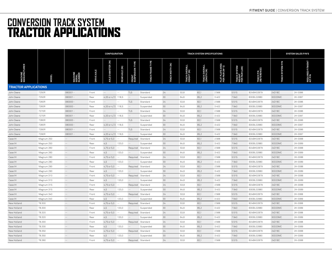# **CONVERSION TRACK SYSTEM** TRACTOR APPLICATIONS

|                                |              |                                    |                   | <b>CONFIGURATION</b><br>TRACK SYSTEM SPECIFICATIONS |                |                               |                            |                  |                              |                              |                                    |                                                    |                          |                         | <b>SYSTEM SALES P/N'S</b>        |  |  |  |
|--------------------------------|--------------|------------------------------------|-------------------|-----------------------------------------------------|----------------|-------------------------------|----------------------------|------------------|------------------------------|------------------------------|------------------------------------|----------------------------------------------------|--------------------------|-------------------------|----------------------------------|--|--|--|
| <b>MACHINE</b><br>MANUFACTURER | <b>MODEL</b> | <b>MACHINE</b><br>SERIAL<br>NUMBER | <b>DRIVE AXLE</b> | AXLE DIAMETER (IN)                                  | REAR AXLE (IN) | TYPE<br>FRONT<br>Suspension 1 | FRAME TYPE<br><b>TRACK</b> | TRACK WIDTH (IN) | TRACK OVERALL<br>HEIGHT (IN) | TRACK OVERALL<br>LENGTH (IN) | FLAT PLATE AREA<br>PER PAIR (IN^2) | SYSTEM<br>TRACK SYSTEM<br>WEIGHT<br>PER PAIR (LBS) | TRACK P/N<br>(REFERENCE) | <b>TRACK SYSTEM P/N</b> | FITMENT<br>REQUIRED I<br>KIT P/N |  |  |  |
| <b>TRACTOR APPLICATIONS</b>    |              |                                    |                   |                                                     |                |                               |                            |                  |                              |                              |                                    |                                                    |                          |                         |                                  |  |  |  |
| John Deere                     | 7250R        | $080001 -$                         | Front             | $\sim$ $\sim$                                       | $\sim$ $\sim$  | <b>TLS</b>                    | Standard                   | 24               | 53,8                         | 82,1                         | 2568                               | 5515                                               | B24BK02879               | 24D18C                  | 2K-0086                          |  |  |  |
| John Deere                     | 7250R        | 080001 -                           | Rear              | 4,33 or 4,72 118,5                                  |                | $\sim$ $-$                    | Suspended                  | 30               | 64,6                         | 85,2                         | 3 4 0 2                            | 7940                                               | B30BL02880               | 30D23MC                 | 2K-0087                          |  |  |  |
| John Deere                     | 7260R        | $080000 -$                         | Front             | $\sim$ $-$                                          | $\sim$ $\sim$  | <b>TLS</b>                    | Standard                   | 24               | 53,8                         | 82,1                         | 2568                               | 5515                                               | B24BK02879               | 24D18C                  | 2K-0086                          |  |  |  |
| John Deere                     | 7260R        | 080000                             | Rear              | 4,33 or 4,72 118,5                                  |                | $\sim$                        | Suspended                  | 30               | 64,6                         | 85,2                         | 3 4 0 2                            | 7940                                               | B30BL02880               | 30D23MC                 | 2K-0087                          |  |  |  |
| John Deere                     | 7270R        | 080001-                            | Front             |                                                     | $\sim$ $\sim$  | <b>TLS</b>                    | Standard                   | 24               | 53,8                         | 82,1                         | 2568                               | 5515                                               | B24BK02879               | 24D18C                  | 2K-0086                          |  |  |  |
| John Deere                     | 7270R        | 080001 -                           | Rear              | 4,33 or 4,72 118,5                                  |                | $\sim$ $-$                    | Suspended                  | 30               | 64,6                         | 85,2                         | 3402                               | 7940                                               | B30BL02880               | 30D23MC                 | 2K-0087                          |  |  |  |
| John Deere                     | 7280R        | 080000                             | Front             | $\sim$ $-$                                          | $\sim$         | <b>TLS</b>                    | Standard                   | 24               | 53,8                         | 82,1                         | 2568                               | 5515                                               | B24BK02879               | 24D18C                  | 2K-0086                          |  |  |  |
| John Deere                     | 7280R        | 080000                             | Rear              | 4,33 or 4,72 118,5                                  |                | $\sim$ $-$                    | Suspended                  | 30               | 64,6                         | 85,2                         | 3402                               | 7940                                               | B30BL02880               | 30D23MC                 | 2K-0087                          |  |  |  |
| John Deere                     | 7290R        | 080001-                            | Front             | $\sim$ $-$                                          | $\sim$ $-$     | <b>TLS</b>                    | Standard                   | 24               | 53,8                         | 82,1                         | 2568                               | 5515                                               | B24BK02879               | 24D18C                  | 2K-0086                          |  |  |  |
| John Deere                     | 7290R        | 080001-                            | Rear              | 4,33 or 4,72 118,5                                  |                | $\sim$ $-$                    | Suspended                  | 30               | 64,6                         | 85,2                         | 3 4 0 2                            | 7940                                               | B30BL02880               | 30D23MC                 | 2K-0087                          |  |  |  |
| Case IH                        | Magnum 250   | $\sim$ $-$                         | Front             | 4,75 or $5,0$ --                                    |                | Required Standard             |                            | 24               | 53,8                         | 82,1                         | 2568                               | 5515                                               | B24BK02879               | 24D18C                  | 2K-0088                          |  |  |  |
| Case IH                        | Magnum 250   | $\sim$ $-$                         | Rear              | 4.5                                                 | 120,0          | $\sim$                        | Suspended                  | 30               | 64,6                         | 85,2                         | 3 4 0 2                            | 7940                                               | B30BL02880               | 30D23MC                 | 2K-0089                          |  |  |  |
| Case IH                        | Magnum 260   | $\sim$ $-$                         | Front             | 4,75 or 5,0                                         | $\sim$         | Required Standard             |                            | 24               | 53.8                         | 82,1                         | 2568                               | 5515                                               | B24BK02879               | 24D18C                  | 2K-0088                          |  |  |  |
| Case IH                        | Magnum 260   | $\sim$ $-$                         | Rear              | 4,5                                                 | 120,0          | $\sim$ $-$                    | Suspended                  | 30               | 64,6                         | 85,2                         | 3402                               | 7940                                               | B30BL02880               | 30D23MC                 | 2K-0089                          |  |  |  |
| Case IH                        | Magnum 280   | $\sim$                             | Front             | 4,75 or 5,0                                         | $\sim$         | Required Standard             |                            | 24               | 53.8                         | 82.1                         | 2568                               | 5515                                               | B24BK02879               | 24D18C                  | 2K-0088                          |  |  |  |
| Case IH                        | Magnum 280   | $\sim$ $-$                         | Rear              | 4,5                                                 | 120,0          | $\sim$                        | Suspended                  | 30               | 64.6                         | 85,2                         | 3 4 0 2                            | 7940                                               | B30BL02880               | 30D23MC                 | 2K-0089                          |  |  |  |
| Case IH                        | Magnum 290   | $\sim$ $-$                         | Front             | 4,75 or 5,0                                         | $\sim$         | Required Standard             |                            | 24               | 53,8                         | 82,1                         | 2568                               | 5515                                               | B24BK02879               | 24D18C                  | 2K-0088                          |  |  |  |
| Case IH                        | Magnum 290   | $\sim$ $\sim$                      | Rear              | 4,5                                                 | 120,0          | $\sim$ $\sim$                 | Suspended                  | 30               | 64,6                         | 85,2                         | 3402                               | 7940                                               | B30BL02880               | 30D23MC                 | 2K-0089                          |  |  |  |
| Case IH                        | Magnum 310   | $\sim$ $\sim$                      | Front             | 4,75 or 5,0                                         | $\sim$         | Required Standard             |                            | 24               | 53,8                         | 82,1                         | 2568                               | 5515                                               | B24BK02879               | 24D18C                  | 2K-0088                          |  |  |  |
| Case IH                        | Magnum 310   | $\sim$                             | Rear              | 4,5                                                 | 120,0          | $\sim$ $-$                    | Suspended                  | 30               | 64,6                         | 85,2                         | 3402                               | 7940                                               | B30BL02880               | 30D23MC                 | 2K-0089                          |  |  |  |
| Case IH                        | Magnum 315   | $\sim$ $\sim$                      | Front             | 4,75 or $5.0 - -$                                   |                | Required Standard             |                            | 24               | 53,8                         | 82,1                         | 2568                               | 5515                                               | B24BK02879               | 24D18C                  | 2K-0088                          |  |  |  |
| Case IH                        | Magnum 315   | $\sim$                             | Rear              | 4,5                                                 | 120,0          | $\sim$ $-$                    | Suspended                  | 30               | 64,6                         | 85,2                         | 3402                               | 7940                                               | B30BL02880               | 30D23MC                 | 2K-0089                          |  |  |  |
| Case IH                        | Magnum 340   | $\sim$                             | Front             | 4,75 or $5.0 - -$                                   |                | Required Standard             |                            | 24               | 53,8                         | 82,1                         | 2568                               | 5515                                               | B24BK02879               | 24D18C                  | 2K-0088                          |  |  |  |
| Case IH                        | Magnum 340   | $\sim$ $-$                         | Rear              | 4,5                                                 | 120,0          | $\sim$                        | Suspended                  | 30               | 64,6                         | 85,2                         | 3 4 0 2                            | 7940                                               | B30BL02880               | 30D23MC                 | 2K-0089                          |  |  |  |
| New Holland                    | T8.300       | $\sim$ $-$                         | Front             | 4,75 or $5.0 - -$                                   |                | Required Standard             |                            | 24               | 53,8                         | 82,1                         | 2568                               | 5515                                               | B24BK02879               | 24D18C                  | 2K-0088                          |  |  |  |
| New Holland                    | T8.300       | $\sim$ $-$                         | Rear              | 4,5                                                 | 120,0          | $\sim$ $-$                    | Suspended                  | 30               | 64,6                         | 85,2                         | 3 4 0 2                            | 7940                                               | B30BL02880               | 30D23MC                 | 2K-0089                          |  |  |  |
| New Holland                    | T8.320       | $\sim$ $-$                         | Front             | 4,75 or 5,0                                         | $\sim$ $\sim$  | Required Standard             |                            | 24               | 53.8                         | 82,1                         | 2568                               | 5515                                               | B24BK02879               | 24D18C                  | 2K-0088                          |  |  |  |
| New Holland                    | T8.320       | $\sim$ $-$                         | Rear              | 4,5                                                 | 120,0          | $\sim$ $-$                    | Suspended                  | 30               | 64,6                         | 85,2                         | 3 4 0 2                            | 7940                                               | B30BL02880               | 30D23MC                 | 2K-0089                          |  |  |  |
| New Holland                    | T8.330       | $\sim$ $-$                         | Front             | 4,75 or 5,0                                         | $\sim$         | Required Standard             |                            | 24               | 53,8                         | 82,1                         | 2568                               | 5515                                               | B24BK02879               | 24D18C                  | 2K-0088                          |  |  |  |
| New Holland                    | T8.330       | $\sim$ $-$                         | Rear              | 4,5                                                 | 120,0          | $\sim$ $-$                    | Suspended                  | 30               | 64,6                         | 85,2                         | 3402                               | 7940                                               | B30BL02880               | 30D23MC                 | 2K-0089                          |  |  |  |
| New Holland                    | T8.350       | $\sim$ $\sim$                      | Front             | 4,75 or 5,0                                         | $\sim$         | Required Standard             |                            | 24               | 53,8                         | 82,1                         | 2568                               | 5515                                               | B24BK02879               | 24D18C                  | 2K-0088                          |  |  |  |
| New Holland                    | T8.350       | $\sim$ $-$                         | Rear              | 4,5                                                 | 120,0          | $\sim$ $-$                    | Suspended                  | 30               | 64,6                         | 85,2                         | 3402                               | 7940                                               | B30BL02880               | 30D23MC                 | 2K-0089                          |  |  |  |
| New Holland                    | T8.360       | $\sim$ $-$                         | Front             | 4,75 or $5,0$ --                                    |                | Required Standard             |                            | 24               | 53,8                         | 82,1                         | 2568                               | 5515                                               | B24BK02879               | 24D18C                  | 2K-0088                          |  |  |  |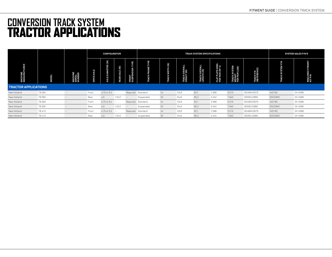# **CONVERSION TRACK SYSTEM** TRACTOR APPLICATIONS

|                                    |              | <b>CONFIGURATION</b><br>TRACK SYSTEM SPECIFICATIONS |                |                       |                |                            |                          |            |                              |                              |                                    |                                                  | <b>SYSTEM SALES P/N'S</b>        |                      |                     |  |
|------------------------------------|--------------|-----------------------------------------------------|----------------|-----------------------|----------------|----------------------------|--------------------------|------------|------------------------------|------------------------------|------------------------------------|--------------------------------------------------|----------------------------------|----------------------|---------------------|--|
| URER<br><b>MACHINE</b><br>MANUFACT | <b>MODEL</b> | <b>MACHINE</b><br>SERIAL<br>NUMBER                  | AXLE<br>DRIVE, | DIAMETER (IN)<br>AXLE | REAR AXLE (IN) | YΡE<br>FRONT<br>SUSPENSION | ≂<br>FRAM<br><b>RACK</b> | WIDTH (IN) | TRACK OVERALL<br>HEIGHT (IN) | TRACK OVERALL<br>LENGTH (IN) | FLAT PLATE AREA<br>PER PAIR (IN^2) | LEM<br>(LS)<br>TRACK SYS<br>WEIGHT<br>PER PAIR ( | <b>TRACK P/N<br/>(REFERENCE)</b> | <b>N/d N3LS</b><br>Ê | REQUIRED<br>KIT P/N |  |
| <b>TRACTOR APPLICATIONS</b>        |              |                                                     |                |                       |                |                            |                          |            |                              |                              |                                    |                                                  |                                  |                      |                     |  |
| New Holland                        | T8.380       | $\qquad \qquad -$                                   | Front          | 4,75 or $5,0$ --      |                |                            | Required Standard        | 24         | 53,8                         | 82,1                         | 2568                               | 5515                                             | B24BK02879                       | 24D18C               | 2K-0088             |  |
| New Holland                        | T8.380       |                                                     | Rear           | 4,5                   | 120,0          | $- -$                      | Suspended                | 30         | 64,6                         | 85,2                         | 3402                               | 7940                                             | B30BL02880                       | 30D23MC              | 2K-0089             |  |
| New Holland                        | T8.390       | $\frac{1}{2}$                                       | Front          | 4,75 or 5,0           | $- -$          | Required                   | Standard                 | 24         | 53,8                         | 82,1                         | 2568                               | 5515                                             | B24BK02879                       | 24D18C               | 2K-0088             |  |
| New Holland                        | T8.390       | $\frac{1}{2}$                                       | Rear           | 4,5                   | 120,0          | $- -$                      | Suspended                | 30         | 64,6                         | 85,2                         | 3402                               | 7940                                             | B30BL02880                       | 30D23MC              | 2K-0089             |  |
| New Holland                        | T8.410       | $\qquad \qquad -$                                   | Front          | 4,75 or 5,0           | $\sim$ $-$     | Required                   | Standard                 | 24         | 53,8                         | 82,1                         | 2568                               | 5515                                             | B24BK02879                       | 24D18C               | 2K-0088             |  |
| New Holland                        | T8.410       |                                                     | Rear           | 4,5                   | 120,0          | $- -$                      | Suspended                | 30         | 64,6                         | 85,2                         | 3402                               | 7940                                             | B30BL02880                       | 30D23MC              | 2K-0089             |  |